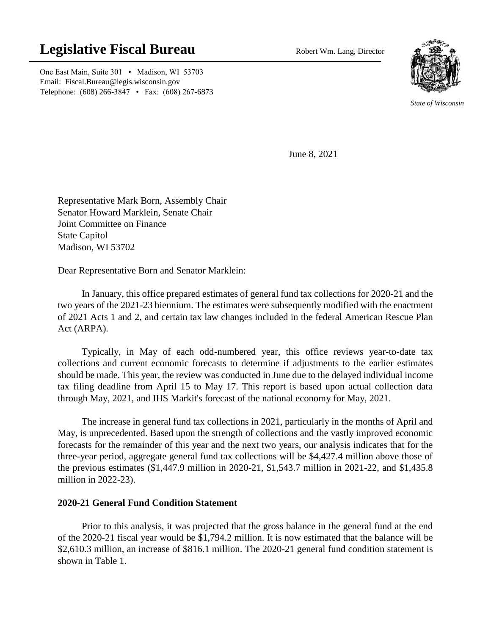# **Legislative Fiscal Bureau** Robert Wm. Lang, Director

One East Main, Suite 301 • Madison, WI 53703 Email: Fiscal.Bureau@legis.wisconsin.gov Telephone: (608) 266-3847 • Fax: (608) 267-6873



*State of Wisconsin*

June 8, 2021

Representative Mark Born, Assembly Chair Senator Howard Marklein, Senate Chair Joint Committee on Finance State Capitol Madison, WI 53702

Dear Representative Born and Senator Marklein:

In January, this office prepared estimates of general fund tax collections for 2020-21 and the two years of the 2021-23 biennium. The estimates were subsequently modified with the enactment of 2021 Acts 1 and 2, and certain tax law changes included in the federal American Rescue Plan Act (ARPA).

Typically, in May of each odd-numbered year, this office reviews year-to-date tax collections and current economic forecasts to determine if adjustments to the earlier estimates should be made. This year, the review was conducted in June due to the delayed individual income tax filing deadline from April 15 to May 17. This report is based upon actual collection data through May, 2021, and IHS Markit's forecast of the national economy for May, 2021.

The increase in general fund tax collections in 2021, particularly in the months of April and May, is unprecedented. Based upon the strength of collections and the vastly improved economic forecasts for the remainder of this year and the next two years, our analysis indicates that for the three-year period, aggregate general fund tax collections will be \$4,427.4 million above those of the previous estimates (\$1,447.9 million in 2020-21, \$1,543.7 million in 2021-22, and \$1,435.8 million in 2022-23).

# **2020-21 General Fund Condition Statement**

Prior to this analysis, it was projected that the gross balance in the general fund at the end of the 2020-21 fiscal year would be \$1,794.2 million. It is now estimated that the balance will be \$2,610.3 million, an increase of \$816.1 million. The 2020-21 general fund condition statement is shown in Table 1.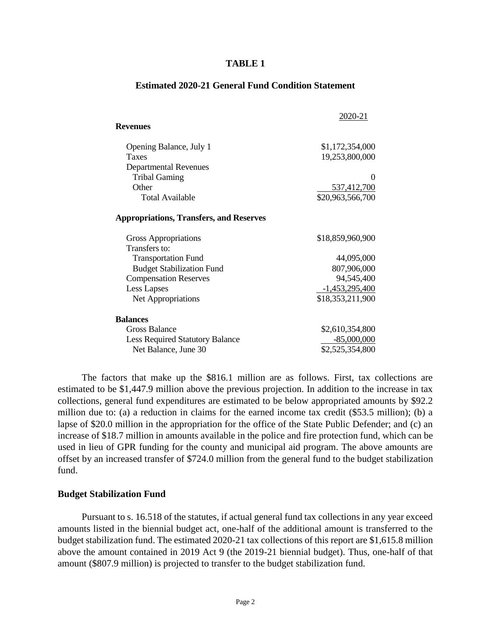#### **TABLE 1**

|                                                | 2020-21            |
|------------------------------------------------|--------------------|
| <b>Revenues</b>                                |                    |
| Opening Balance, July 1                        | \$1,172,354,000    |
| Taxes                                          | 19,253,800,000     |
| <b>Departmental Revenues</b>                   |                    |
| <b>Tribal Gaming</b>                           | $\mathbf{\Omega}$  |
| Other                                          | <u>537,412,700</u> |
| <b>Total Available</b>                         | \$20,963,566,700   |
| <b>Appropriations, Transfers, and Reserves</b> |                    |
| Gross Appropriations                           | \$18,859,960,900   |
| Transfers to:                                  |                    |
| <b>Transportation Fund</b>                     | 44,095,000         |
| <b>Budget Stabilization Fund</b>               | 807,906,000        |
| <b>Compensation Reserves</b>                   | 94,545,400         |
| Less Lapses                                    | $-1,453,295,400$   |
| Net Appropriations                             | \$18,353,211,900   |
| <b>Balances</b>                                |                    |
| Gross Balance                                  | \$2,610,354,800    |
| <b>Less Required Statutory Balance</b>         | $-85,000,000$      |
| Net Balance, June 30                           | \$2,525,354,800    |

#### **Estimated 2020-21 General Fund Condition Statement**

The factors that make up the \$816.1 million are as follows. First, tax collections are estimated to be \$1,447.9 million above the previous projection. In addition to the increase in tax collections, general fund expenditures are estimated to be below appropriated amounts by \$92.2 million due to: (a) a reduction in claims for the earned income tax credit (\$53.5 million); (b) a lapse of \$20.0 million in the appropriation for the office of the State Public Defender; and (c) an increase of \$18.7 million in amounts available in the police and fire protection fund, which can be used in lieu of GPR funding for the county and municipal aid program. The above amounts are offset by an increased transfer of \$724.0 million from the general fund to the budget stabilization fund.

#### **Budget Stabilization Fund**

Pursuant to s. 16.518 of the statutes, if actual general fund tax collections in any year exceed amounts listed in the biennial budget act, one-half of the additional amount is transferred to the budget stabilization fund. The estimated 2020-21 tax collections of this report are \$1,615.8 million above the amount contained in 2019 Act 9 (the 2019-21 biennial budget). Thus, one-half of that amount (\$807.9 million) is projected to transfer to the budget stabilization fund.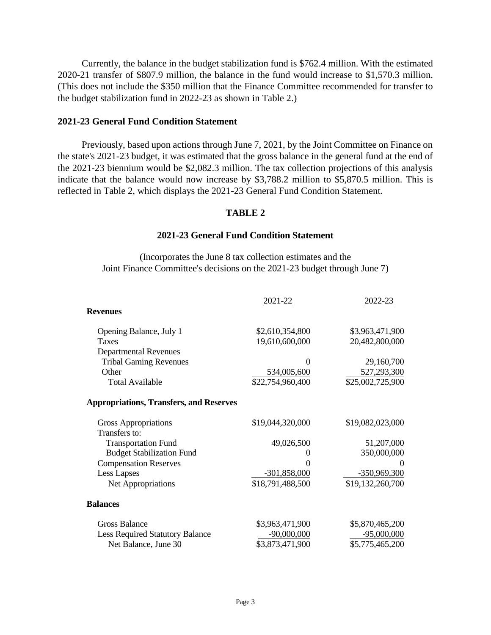Currently, the balance in the budget stabilization fund is \$762.4 million. With the estimated 2020-21 transfer of \$807.9 million, the balance in the fund would increase to \$1,570.3 million. (This does not include the \$350 million that the Finance Committee recommended for transfer to the budget stabilization fund in 2022-23 as shown in Table 2.)

### **2021-23 General Fund Condition Statement**

Previously, based upon actions through June 7, 2021, by the Joint Committee on Finance on the state's 2021-23 budget, it was estimated that the gross balance in the general fund at the end of the 2021-23 biennium would be \$2,082.3 million. The tax collection projections of this analysis indicate that the balance would now increase by \$3,788.2 million to \$5,870.5 million. This is reflected in Table 2, which displays the 2021-23 General Fund Condition Statement.

# **TABLE 2**

#### **2021-23 General Fund Condition Statement**

(Incorporates the June 8 tax collection estimates and the Joint Finance Committee's decisions on the 2021-23 budget through June 7)

|                                                | 2021-22           | 2022-23          |
|------------------------------------------------|-------------------|------------------|
| <b>Revenues</b>                                |                   |                  |
| Opening Balance, July 1                        | \$2,610,354,800   | \$3,963,471,900  |
| <b>Taxes</b>                                   | 19,610,600,000    | 20,482,800,000   |
| <b>Departmental Revenues</b>                   |                   |                  |
| <b>Tribal Gaming Revenues</b>                  |                   | 29,160,700       |
| Other                                          | 534,005,600       | 527,293,300      |
| <b>Total Available</b>                         | \$22,754,960,400  | \$25,002,725,900 |
| <b>Appropriations, Transfers, and Reserves</b> |                   |                  |
| Gross Appropriations                           | \$19,044,320,000  | \$19,082,023,000 |
| Transfers to:                                  |                   |                  |
| <b>Transportation Fund</b>                     | 49,026,500        | 51,207,000       |
| <b>Budget Stabilization Fund</b>               | $\mathbf{\Omega}$ | 350,000,000      |
| <b>Compensation Reserves</b>                   |                   |                  |
| <b>Less Lapses</b>                             | $-301,858,000$    | $-350,969,300$   |
| Net Appropriations                             | \$18,791,488,500  | \$19,132,260,700 |
| <b>Balances</b>                                |                   |                  |
| Gross Balance                                  | \$3,963,471,900   | \$5,870,465,200  |
| <b>Less Required Statutory Balance</b>         | $-90,000,000$     | $-95,000,000$    |
| Net Balance, June 30                           | \$3,873,471,900   | \$5,775,465,200  |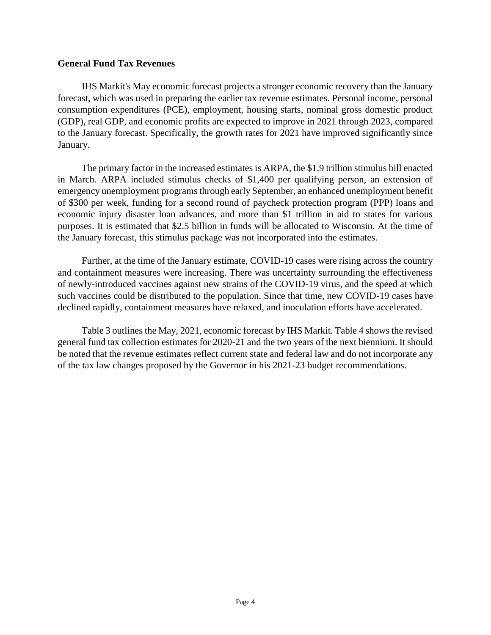## **General Fund Tax Revenues**

IHS Markit's May economic forecast projects a stronger economic recovery than the January forecast, which was used in preparing the earlier tax revenue estimates. Personal income, personal consumption expenditures (PCE), employment, housing starts, nominal gross domestic product (GDP), real GDP, and economic profits are expected to improve in 2021 through 2023, compared to the January forecast. Specifically, the growth rates for 2021 have improved significantly since January.

The primary factor in the increased estimates is ARPA, the \$1.9 trillion stimulus bill enacted in March. ARPA included stimulus checks of \$1,400 per qualifying person, an extension of emergency unemployment programs through early September, an enhanced unemployment benefit of \$300 per week, funding for a second round of paycheck protection program (PPP) loans and economic injury disaster loan advances, and more than \$1 trillion in aid to states for various purposes. It is estimated that \$2.5 billion in funds will be allocated to Wisconsin. At the time of the January forecast, this stimulus package was not incorporated into the estimates.

Further, at the time of the January estimate, COVID-19 cases were rising across the country and containment measures were increasing. There was uncertainty surrounding the effectiveness of newly-introduced vaccines against new strains of the COVID-19 virus, and the speed at which such vaccines could be distributed to the population. Since that time, new COVID-19 cases have declined rapidly, containment measures have relaxed, and inoculation efforts have accelerated.

Table 3 outlines the May, 2021, economic forecast by IHS Markit. Table 4 shows the revised general fund tax collection estimates for 2020-21 and the two years of the next biennium. It should be noted that the revenue estimates reflect current state and federal law and do not incorporate any of the tax law changes proposed by the Governor in his 2021-23 budget recommendations.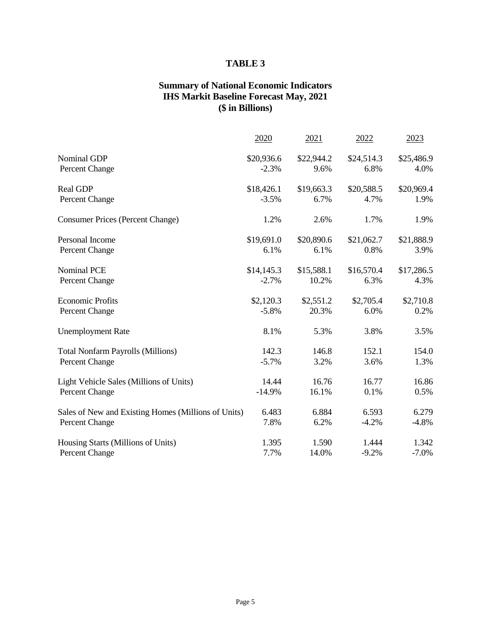# **TABLE 3**

# **Summary of National Economic Indicators IHS Markit Baseline Forecast May, 2021 (\$ in Billions)**

|                                                     | 2020                  | 2021               | 2022               | 2023               |
|-----------------------------------------------------|-----------------------|--------------------|--------------------|--------------------|
| Nominal GDP<br>Percent Change                       | \$20,936.6<br>$-2.3%$ | \$22,944.2<br>9.6% | \$24,514.3<br>6.8% | \$25,486.9<br>4.0% |
| <b>Real GDP</b>                                     | \$18,426.1            | \$19,663.3         | \$20,588.5         | \$20,969.4         |
| Percent Change                                      | $-3.5%$               | 6.7%               | 4.7%               | 1.9%               |
| <b>Consumer Prices (Percent Change)</b>             | 1.2%                  | 2.6%               | 1.7%               | 1.9%               |
| Personal Income                                     | \$19,691.0            | \$20,890.6         | \$21,062.7         | \$21,888.9         |
| Percent Change                                      | 6.1%                  | 6.1%               | 0.8%               | 3.9%               |
| <b>Nominal PCE</b>                                  | \$14,145.3            | \$15,588.1         | \$16,570.4         | \$17,286.5         |
| Percent Change                                      | $-2.7%$               | 10.2%              | 6.3%               | 4.3%               |
| <b>Economic Profits</b>                             | \$2,120.3             | \$2,551.2          | \$2,705.4          | \$2,710.8          |
| Percent Change                                      | $-5.8%$               | 20.3%              | 6.0%               | 0.2%               |
| <b>Unemployment Rate</b>                            | 8.1%                  | 5.3%               | 3.8%               | 3.5%               |
| <b>Total Nonfarm Payrolls (Millions)</b>            | 142.3                 | 146.8              | 152.1              | 154.0              |
| Percent Change                                      | $-5.7%$               | 3.2%               | 3.6%               | 1.3%               |
| Light Vehicle Sales (Millions of Units)             | 14.44                 | 16.76              | 16.77              | 16.86              |
| Percent Change                                      | $-14.9%$              | 16.1%              | 0.1%               | 0.5%               |
| Sales of New and Existing Homes (Millions of Units) | 6.483                 | 6.884              | 6.593              | 6.279              |
| Percent Change                                      | 7.8%                  | 6.2%               | $-4.2%$            | $-4.8%$            |
| Housing Starts (Millions of Units)                  | 1.395                 | 1.590              | 1.444              | 1.342              |
| Percent Change                                      | 7.7%                  | 14.0%              | $-9.2%$            | $-7.0\%$           |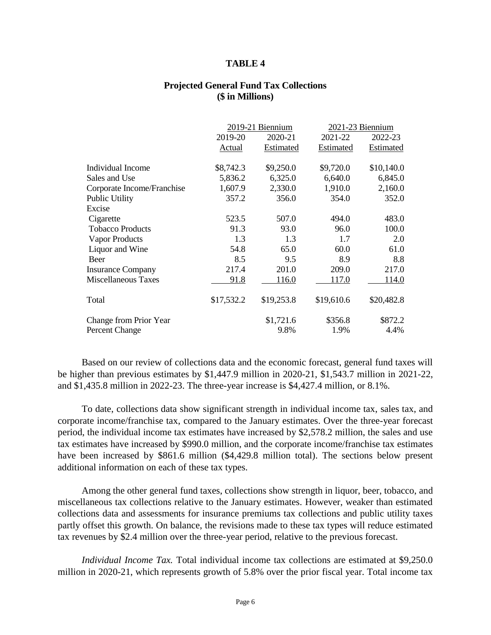#### **TABLE 4**

#### **Projected General Fund Tax Collections (\$ in Millions)**

|                            |            | 2019-21 Biennium |            | 2021-23 Biennium |  |
|----------------------------|------------|------------------|------------|------------------|--|
|                            | 2019-20    | 2020-21          | 2021-22    | 2022-23          |  |
|                            | Actual     | Estimated        | Estimated  | Estimated        |  |
| Individual Income          | \$8,742.3  | \$9,250.0        | \$9,720.0  | \$10,140.0       |  |
| Sales and Use              | 5,836.2    | 6,325.0          | 6,640.0    | 6,845.0          |  |
| Corporate Income/Franchise | 1,607.9    | 2,330.0          | 1,910.0    | 2,160.0          |  |
| <b>Public Utility</b>      | 357.2      | 356.0            | 354.0      | 352.0            |  |
| Excise                     |            |                  |            |                  |  |
| Cigarette                  | 523.5      | 507.0            | 494.0      | 483.0            |  |
| <b>Tobacco Products</b>    | 91.3       | 93.0             | 96.0       | 100.0            |  |
| Vapor Products             | 1.3        | 1.3              | 1.7        | 2.0              |  |
| Liquor and Wine            | 54.8       | 65.0             | 60.0       | 61.0             |  |
| <b>Beer</b>                | 8.5        | 9.5              | 8.9        | 8.8              |  |
| <b>Insurance Company</b>   | 217.4      | 201.0            | 209.0      | 217.0            |  |
| <b>Miscellaneous Taxes</b> | 91.8       | 116.0            | 117.0      | 114.0            |  |
| Total                      | \$17,532.2 | \$19,253.8       | \$19,610.6 | \$20,482.8       |  |
| Change from Prior Year     |            | \$1,721.6        | \$356.8    | \$872.2          |  |
| Percent Change             |            | 9.8%             | 1.9%       | 4.4%             |  |

Based on our review of collections data and the economic forecast, general fund taxes will be higher than previous estimates by \$1,447.9 million in 2020-21, \$1,543.7 million in 2021-22, and \$1,435.8 million in 2022-23. The three-year increase is \$4,427.4 million, or 8.1%.

To date, collections data show significant strength in individual income tax, sales tax, and corporate income/franchise tax, compared to the January estimates. Over the three-year forecast period, the individual income tax estimates have increased by \$2,578.2 million, the sales and use tax estimates have increased by \$990.0 million, and the corporate income/franchise tax estimates have been increased by \$861.6 million (\$4,429.8 million total). The sections below present additional information on each of these tax types.

Among the other general fund taxes, collections show strength in liquor, beer, tobacco, and miscellaneous tax collections relative to the January estimates. However, weaker than estimated collections data and assessments for insurance premiums tax collections and public utility taxes partly offset this growth. On balance, the revisions made to these tax types will reduce estimated tax revenues by \$2.4 million over the three-year period, relative to the previous forecast.

*Individual Income Tax.* Total individual income tax collections are estimated at \$9,250.0 million in 2020-21, which represents growth of 5.8% over the prior fiscal year. Total income tax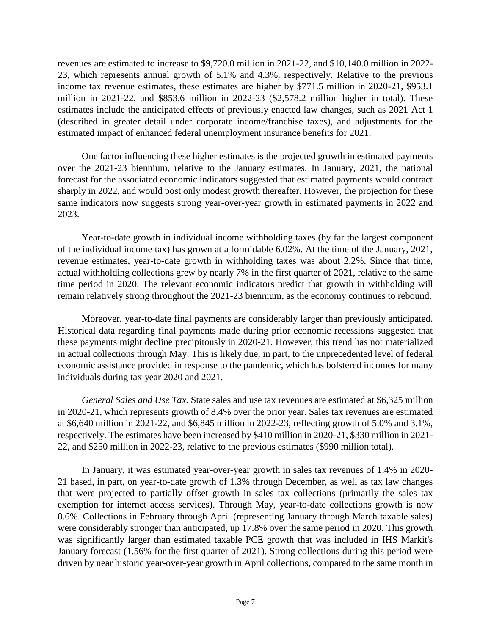revenues are estimated to increase to \$9,720.0 million in 2021-22, and \$10,140.0 million in 2022- 23, which represents annual growth of 5.1% and 4.3%, respectively. Relative to the previous income tax revenue estimates, these estimates are higher by \$771.5 million in 2020-21, \$953.1 million in 2021-22, and \$853.6 million in 2022-23 (\$2,578.2 million higher in total). These estimates include the anticipated effects of previously enacted law changes, such as 2021 Act 1 (described in greater detail under corporate income/franchise taxes), and adjustments for the estimated impact of enhanced federal unemployment insurance benefits for 2021.

One factor influencing these higher estimates is the projected growth in estimated payments over the 2021-23 biennium, relative to the January estimates. In January, 2021, the national forecast for the associated economic indicators suggested that estimated payments would contract sharply in 2022, and would post only modest growth thereafter. However, the projection for these same indicators now suggests strong year-over-year growth in estimated payments in 2022 and 2023.

Year-to-date growth in individual income withholding taxes (by far the largest component of the individual income tax) has grown at a formidable 6.02%. At the time of the January, 2021, revenue estimates, year-to-date growth in withholding taxes was about 2.2%. Since that time, actual withholding collections grew by nearly 7% in the first quarter of 2021, relative to the same time period in 2020. The relevant economic indicators predict that growth in withholding will remain relatively strong throughout the 2021-23 biennium, as the economy continues to rebound.

Moreover, year-to-date final payments are considerably larger than previously anticipated. Historical data regarding final payments made during prior economic recessions suggested that these payments might decline precipitously in 2020-21. However, this trend has not materialized in actual collections through May. This is likely due, in part, to the unprecedented level of federal economic assistance provided in response to the pandemic, which has bolstered incomes for many individuals during tax year 2020 and 2021.

*General Sales and Use Tax.* State sales and use tax revenues are estimated at \$6,325 million in 2020-21, which represents growth of 8.4% over the prior year. Sales tax revenues are estimated at \$6,640 million in 2021-22, and \$6,845 million in 2022-23, reflecting growth of 5.0% and 3.1%, respectively. The estimates have been increased by \$410 million in 2020-21, \$330 million in 2021- 22, and \$250 million in 2022-23, relative to the previous estimates (\$990 million total).

In January, it was estimated year-over-year growth in sales tax revenues of 1.4% in 2020- 21 based, in part, on year-to-date growth of 1.3% through December, as well as tax law changes that were projected to partially offset growth in sales tax collections (primarily the sales tax exemption for internet access services). Through May, year-to-date collections growth is now 8.6%. Collections in February through April (representing January through March taxable sales) were considerably stronger than anticipated, up 17.8% over the same period in 2020. This growth was significantly larger than estimated taxable PCE growth that was included in IHS Markit's January forecast (1.56% for the first quarter of 2021). Strong collections during this period were driven by near historic year-over-year growth in April collections, compared to the same month in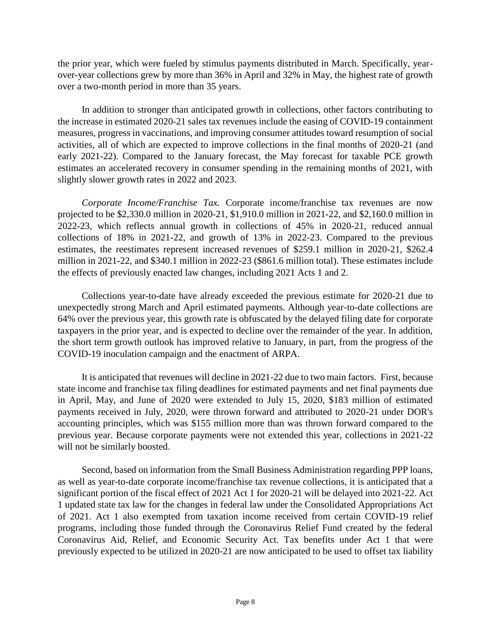the prior year, which were fueled by stimulus payments distributed in March. Specifically, yearover-year collections grew by more than 36% in April and 32% in May, the highest rate of growth over a two-month period in more than 35 years.

In addition to stronger than anticipated growth in collections, other factors contributing to the increase in estimated 2020-21 sales tax revenues include the easing of COVID-19 containment measures, progress in vaccinations, and improving consumer attitudes toward resumption of social activities, all of which are expected to improve collections in the final months of 2020-21 (and early 2021-22). Compared to the January forecast, the May forecast for taxable PCE growth estimates an accelerated recovery in consumer spending in the remaining months of 2021, with slightly slower growth rates in 2022 and 2023.

*Corporate Income/Franchise Tax.* Corporate income/franchise tax revenues are now projected to be \$2,330.0 million in 2020-21, \$1,910.0 million in 2021-22, and \$2,160.0 million in 2022-23, which reflects annual growth in collections of 45% in 2020-21, reduced annual collections of 18% in 2021-22, and growth of 13% in 2022-23. Compared to the previous estimates, the reestimates represent increased revenues of \$259.1 million in 2020-21, \$262.4 million in 2021-22, and \$340.1 million in 2022-23 (\$861.6 million total). These estimates include the effects of previously enacted law changes, including 2021 Acts 1 and 2.

Collections year-to-date have already exceeded the previous estimate for 2020-21 due to unexpectedly strong March and April estimated payments. Although year-to-date collections are 64% over the previous year, this growth rate is obfuscated by the delayed filing date for corporate taxpayers in the prior year, and is expected to decline over the remainder of the year. In addition, the short term growth outlook has improved relative to January, in part, from the progress of the COVID-19 inoculation campaign and the enactment of ARPA.

It is anticipated that revenues will decline in 2021-22 due to two main factors. First, because state income and franchise tax filing deadlines for estimated payments and net final payments due in April, May, and June of 2020 were extended to July 15, 2020, \$183 million of estimated payments received in July, 2020, were thrown forward and attributed to 2020-21 under DOR's accounting principles, which was \$155 million more than was thrown forward compared to the previous year. Because corporate payments were not extended this year, collections in 2021-22 will not be similarly boosted.

Second, based on information from the Small Business Administration regarding PPP loans, as well as year-to-date corporate income/franchise tax revenue collections, it is anticipated that a significant portion of the fiscal effect of 2021 Act 1 for 2020-21 will be delayed into 2021-22. Act 1 updated state tax law for the changes in federal law under the Consolidated Appropriations Act of 2021. Act 1 also exempted from taxation income received from certain COVID-19 relief programs, including those funded through the Coronavirus Relief Fund created by the federal Coronavirus Aid, Relief, and Economic Security Act. Tax benefits under Act 1 that were previously expected to be utilized in 2020-21 are now anticipated to be used to offset tax liability